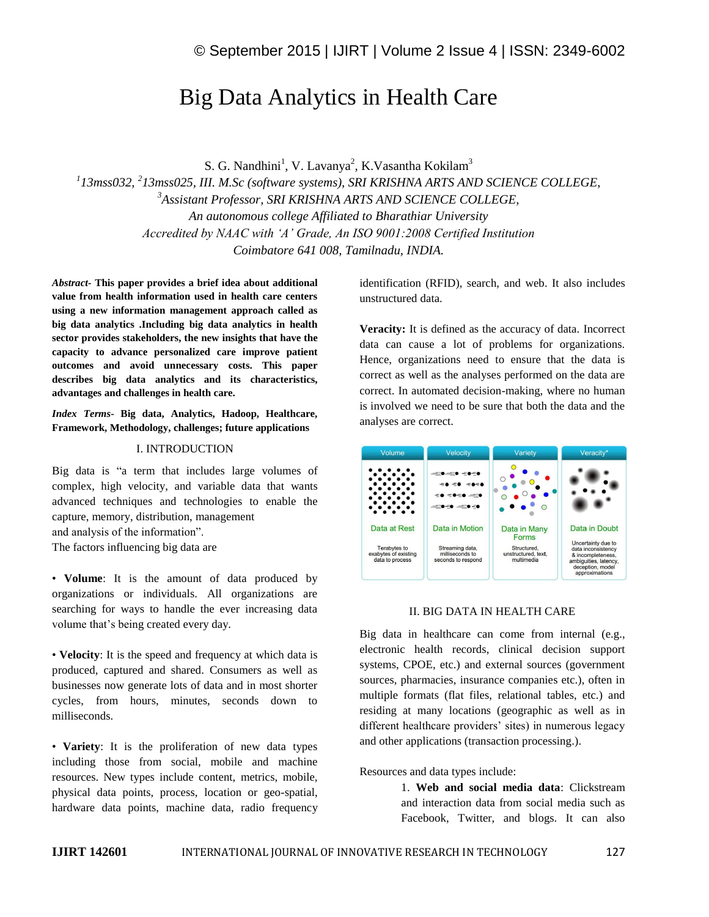# Big Data Analytics in Health Care

S. G. Nandhini<sup>1</sup>, V. Lavanya<sup>2</sup>, K.Vasantha Kokilam<sup>3</sup> *1 13mss032, <sup>2</sup> 13mss025, III. M.Sc (software systems), SRI KRISHNA ARTS AND SCIENCE COLLEGE, <sup>3</sup>Assistant Professor, SRI KRISHNA ARTS AND SCIENCE COLLEGE, An autonomous college Affiliated to Bharathiar University Accredited by NAAC with 'A' Grade, An ISO 9001:2008 Certified Institution Coimbatore 641 008, Tamilnadu, INDIA.*

*Abstract-* **This paper provides a brief idea about additional value from health information used in health care centers using a new information management approach called as big data analytics .Including big data analytics in health sector provides stakeholders, the new insights that have the capacity to advance personalized care improve patient outcomes and avoid unnecessary costs. This paper describes big data analytics and its characteristics, advantages and challenges in health care.**

*Index Terms-* **Big data, Analytics, Hadoop, Healthcare, Framework, Methodology, challenges; future applications**

#### I. INTRODUCTION

Big data is "a term that includes large volumes of complex, high velocity, and variable data that wants advanced techniques and technologies to enable the capture, memory, distribution, management and analysis of the information". The factors influencing big data are

• **Volume**: It is the amount of data produced by organizations or individuals. All organizations are searching for ways to handle the ever increasing data volume that's being created every day.

• **Velocity**: It is the speed and frequency at which data is produced, captured and shared. Consumers as well as businesses now generate lots of data and in most shorter cycles, from hours, minutes, seconds down to milliseconds.

• **Variety**: It is the proliferation of new data types including those from social, mobile and machine resources. New types include content, metrics, mobile, physical data points, process, location or geo-spatial, hardware data points, machine data, radio frequency

identification (RFID), search, and web. It also includes unstructured data.

**Veracity:** It is defined as the accuracy of data. Incorrect data can cause a lot of problems for organizations. Hence, organizations need to ensure that the data is correct as well as the analyses performed on the data are correct. In automated decision-making, where no human is involved we need to be sure that both the data and the analyses are correct.



## II. BIG DATA IN HEALTH CARE

Big data in healthcare can come from internal (e.g., electronic health records, clinical decision support systems, CPOE, etc.) and external sources (government sources, pharmacies, insurance companies etc.), often in multiple formats (flat files, relational tables, etc.) and residing at many locations (geographic as well as in different healthcare providers' sites) in numerous legacy and other applications (transaction processing.).

Resources and data types include:

1. **Web and social media data**: Clickstream and interaction data from social media such as Facebook, Twitter, and blogs. It can also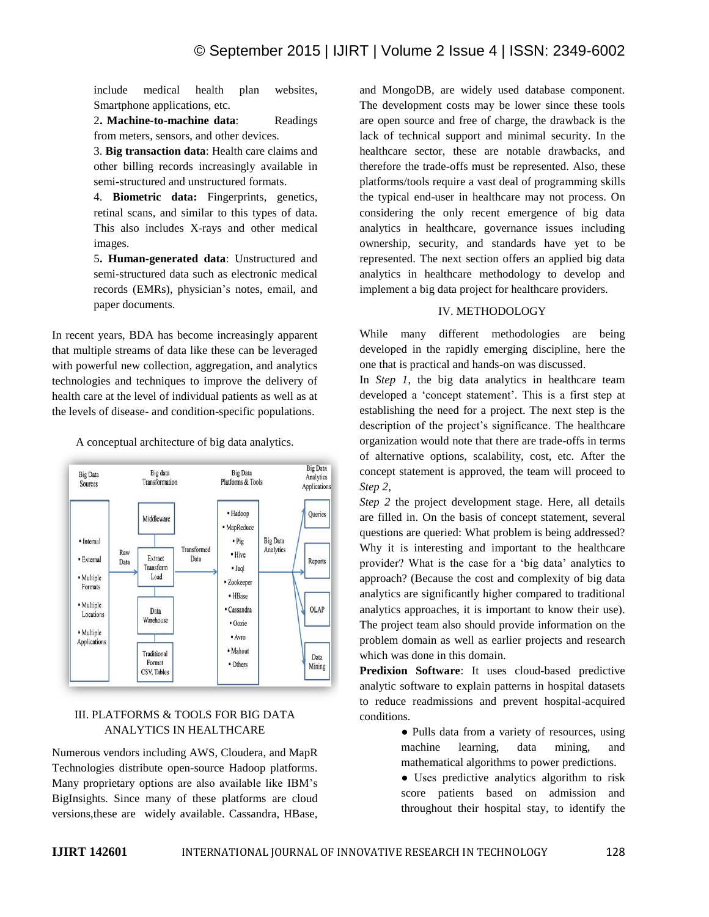include medical health plan websites, Smartphone applications, etc.

2**. Machine-to-machine data**: Readings from meters, sensors, and other devices.

3. **Big transaction data**: Health care claims and other billing records increasingly available in semi-structured and unstructured formats.

4. **Biometric data:** Fingerprints, genetics, retinal scans, and similar to this types of data. This also includes X-rays and other medical images.

5**. Human-generated data**: Unstructured and semi-structured data such as electronic medical records (EMRs), physician's notes, email, and paper documents.

In recent years, BDA has become increasingly apparent that multiple streams of data like these can be leveraged with powerful new collection, aggregation, and analytics technologies and techniques to improve the delivery of health care at the level of individual patients as well as at the levels of disease- and condition-specific populations.

A conceptual architecture of big data analytics.



## III. PLATFORMS & TOOLS FOR BIG DATA ANALYTICS IN HEALTHCARE

Numerous vendors including AWS, Cloudera, and MapR Technologies distribute open-source Hadoop platforms. Many proprietary options are also available like IBM's BigInsights. Since many of these platforms are cloud versions,these are widely available. Cassandra, HBase, and MongoDB, are widely used database component. The development costs may be lower since these tools are open source and free of charge, the drawback is the lack of technical support and minimal security. In the healthcare sector, these are notable drawbacks, and therefore the trade-offs must be represented. Also, these platforms/tools require a vast deal of programming skills the typical end-user in healthcare may not process. On considering the only recent emergence of big data analytics in healthcare, governance issues including ownership, security, and standards have yet to be represented. The next section offers an applied big data analytics in healthcare methodology to develop and implement a big data project for healthcare providers.

## IV. METHODOLOGY

While many different methodologies are being developed in the rapidly emerging discipline, here the one that is practical and hands-on was discussed.

In *Step 1*, the big data analytics in healthcare team developed a 'concept statement'. This is a first step at establishing the need for a project. The next step is the description of the project's significance. The healthcare organization would note that there are trade-offs in terms of alternative options, scalability, cost, etc. After the concept statement is approved, the team will proceed to *Step 2*,

*Step 2* the project development stage. Here, all details are filled in. On the basis of concept statement, several questions are queried: What problem is being addressed? Why it is interesting and important to the healthcare provider? What is the case for a 'big data' analytics to approach? (Because the cost and complexity of big data analytics are significantly higher compared to traditional analytics approaches, it is important to know their use). The project team also should provide information on the problem domain as well as earlier projects and research which was done in this domain.

**Predixion Software**: It uses cloud-based predictive analytic software to explain patterns in hospital datasets to reduce readmissions and prevent hospital-acquired conditions.

> ● Pulls data from a variety of resources, using machine learning, data mining, and mathematical algorithms to power predictions.

> ● Uses predictive analytics algorithm to risk score patients based on admission and throughout their hospital stay, to identify the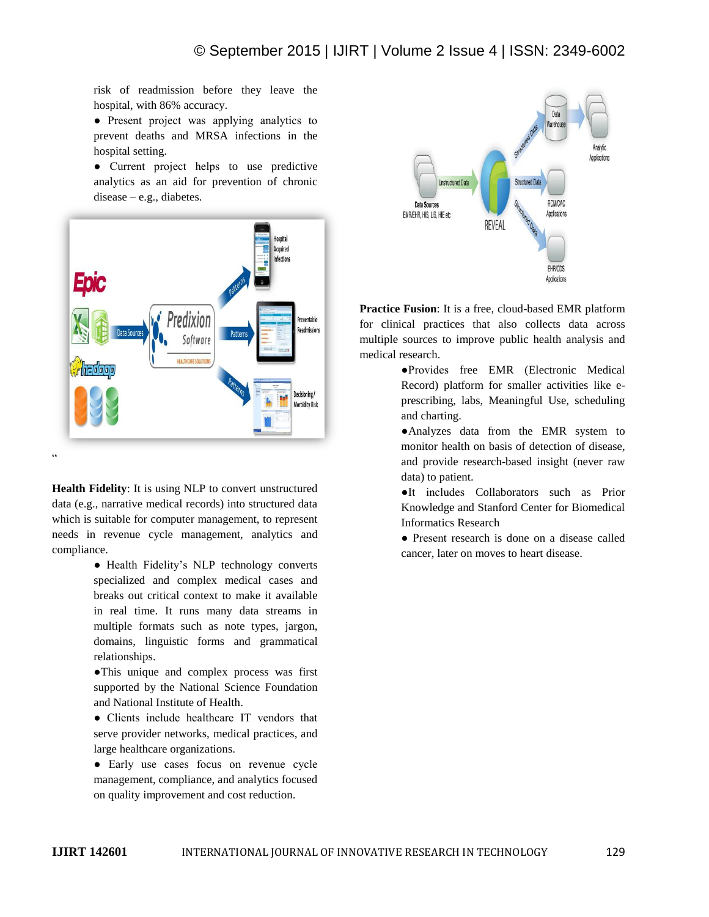risk of readmission before they leave the hospital, with 86% accuracy.

● Present project was applying analytics to prevent deaths and MRSA infections in the hospital setting.

● Current project helps to use predictive analytics as an aid for prevention of chronic disease – e.g., diabetes.



**Health Fidelity**: It is using NLP to convert unstructured data (e.g., narrative medical records) into structured data which is suitable for computer management, to represent needs in revenue cycle management, analytics and compliance.

> • Health Fidelity's NLP technology converts specialized and complex medical cases and breaks out critical context to make it available in real time. It runs many data streams in multiple formats such as note types, jargon, domains, linguistic forms and grammatical relationships.

> ●This unique and complex process was first supported by the National Science Foundation and National Institute of Health.

> ● Clients include healthcare IT vendors that serve provider networks, medical practices, and large healthcare organizations.

● Early use cases focus on revenue cycle management, compliance, and analytics focused on quality improvement and cost reduction.



**Practice Fusion**: It is a free, cloud-based EMR platform for clinical practices that also collects data across multiple sources to improve public health analysis and medical research.

> ●Provides free EMR (Electronic Medical Record) platform for smaller activities like eprescribing, labs, Meaningful Use, scheduling and charting.

●Analyzes data from the EMR system to monitor health on basis of detection of disease, and provide research-based insight (never raw data) to patient.

●It includes Collaborators such as Prior Knowledge and Stanford Center for Biomedical Informatics Research

● Present research is done on a disease called cancer, later on moves to heart disease.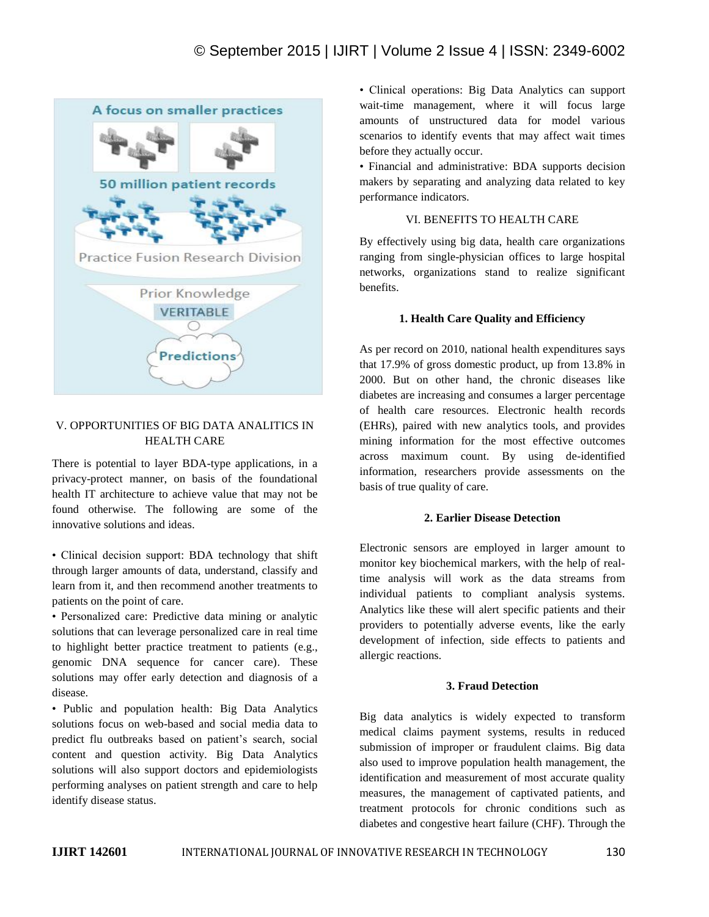

# V. OPPORTUNITIES OF BIG DATA ANALITICS IN HEALTH CARE

There is potential to layer BDA-type applications, in a privacy-protect manner, on basis of the foundational health IT architecture to achieve value that may not be found otherwise. The following are some of the innovative solutions and ideas.

• Clinical decision support: BDA technology that shift through larger amounts of data, understand, classify and learn from it, and then recommend another treatments to patients on the point of care.

• Personalized care: Predictive data mining or analytic solutions that can leverage personalized care in real time to highlight better practice treatment to patients (e.g., genomic DNA sequence for cancer care). These solutions may offer early detection and diagnosis of a disease.

• Public and population health: Big Data Analytics solutions focus on web-based and social media data to predict flu outbreaks based on patient's search, social content and question activity. Big Data Analytics solutions will also support doctors and epidemiologists performing analyses on patient strength and care to help identify disease status.

• Clinical operations: Big Data Analytics can support wait-time management, where it will focus large amounts of unstructured data for model various scenarios to identify events that may affect wait times before they actually occur.

• Financial and administrative: BDA supports decision makers by separating and analyzing data related to key performance indicators.

# VI. BENEFITS TO HEALTH CARE

By effectively using big data, health care organizations ranging from single-physician offices to large hospital networks, organizations stand to realize significant benefits.

# **1. Health Care Quality and Efficiency**

As per record on 2010, national health expenditures says that 17.9% of gross domestic product, up from 13.8% in 2000. But on other hand, the chronic diseases like diabetes are increasing and consumes a larger percentage of health care resources. Electronic health records (EHRs), paired with new analytics tools, and provides mining information for the most effective outcomes across maximum count. By using de-identified information, researchers provide assessments on the basis of true quality of care.

## **2. Earlier Disease Detection**

Electronic sensors are employed in larger amount to monitor key biochemical markers, with the help of realtime analysis will work as the data streams from individual patients to compliant analysis systems. Analytics like these will alert specific patients and their providers to potentially adverse events, like the early development of infection, side effects to patients and allergic reactions.

# **3. Fraud Detection**

Big data analytics is widely expected to transform medical claims payment systems, results in reduced submission of improper or fraudulent claims. Big data also used to improve population health management, the identification and measurement of most accurate quality measures, the management of captivated patients, and treatment protocols for chronic conditions such as diabetes and congestive heart failure (CHF). Through the